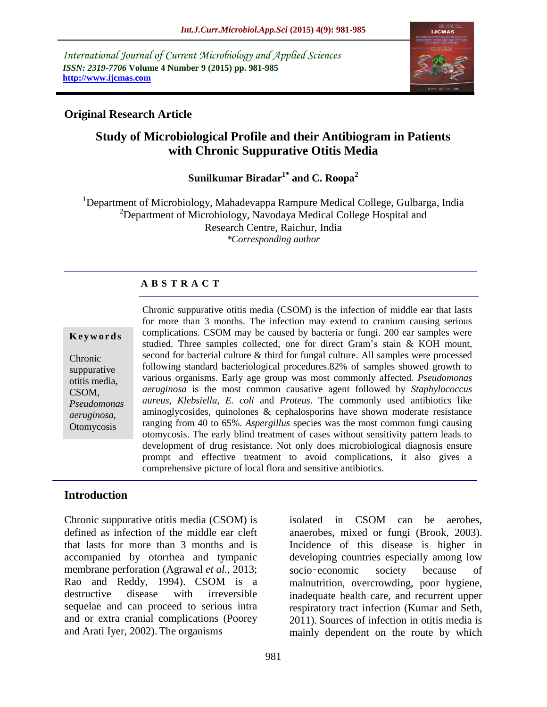*International Journal of Current Microbiology and Applied Sciences ISSN: 2319-7706* **Volume 4 Number 9 (2015) pp. 981-985 http://www.ijcmas.com**



# **Original Research Article**

# **Study of Microbiological Profile and their Antibiogram in Patients with Chronic Suppurative Otitis Media**

# **Sunilkumar Biradar1\* and C. Roopa<sup>2</sup>**

<sup>1</sup>Department of Microbiology, Mahadevappa Rampure Medical College, Gulbarga, India <sup>2</sup>Department of Microbiology, Navodaya Medical College Hospital and Research Centre, Raichur, India *\*Corresponding author*

#### **A B S T R A C T**

#### **K e y w o r d s**

Chronic suppurative otitis media, CSOM, *Pseudomonas aeruginosa*, **Otomycosis** 

Chronic suppurative otitis media (CSOM) is the infection of middle ear that lasts for more than 3 months. The infection may extend to cranium causing serious complications. CSOM may be caused by bacteria or fungi. 200 ear samples were studied. Three samples collected, one for direct Gram's stain & KOH mount, second for bacterial culture & third for fungal culture. All samples were processed following standard bacteriological procedures.82% of samples showed growth to various organisms. Early age group was most commonly affected. *Pseudomonas aeruginosa* is the most common causative agent followed by *Staphylococcus aureus*, *Klebsiella*, *E. coli* and *Proteus*. The commonly used antibiotics like aminoglycosides, quinolones & cephalosporins have shown moderate resistance ranging from 40 to 65%. *Aspergillus* species was the most common fungi causing otomycosis. The early blind treatment of cases without sensitivity pattern leads to development of drug resistance. Not only does microbiological diagnosis ensure prompt and effective treatment to avoid complications, it also gives a comprehensive picture of local flora and sensitive antibiotics.

### **Introduction**

Chronic suppurative otitis media (CSOM) is defined as infection of the middle ear cleft that lasts for more than 3 months and is accompanied by otorrhea and tympanic membrane perforation (Agrawal *et al.,* 2013; Rao and Reddy, 1994). CSOM is a destructive disease with irreversible sequelae and can proceed to serious intra and or extra cranial complications (Poorey and Arati Iyer, 2002). The organisms

isolated in CSOM can be aerobes, anaerobes, mixed or fungi (Brook, 2003). Incidence of this disease is higher in developing countries especially among low socio‑economic society because of malnutrition, overcrowding, poor hygiene, inadequate health care, and recurrent upper respiratory tract infection (Kumar and Seth, 2011). Sources of infection in otitis media is mainly dependent on the route by which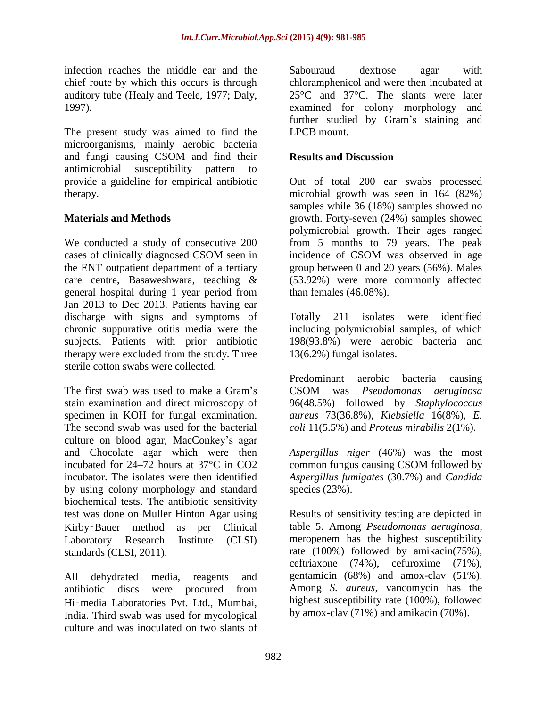infection reaches the middle ear and the chief route by which this occurs is through auditory tube (Healy and Teele, 1977; Daly, 1997).

The present study was aimed to find the microorganisms, mainly aerobic bacteria and fungi causing CSOM and find their antimicrobial susceptibility pattern to provide a guideline for empirical antibiotic therapy.

# **Materials and Methods**

We conducted a study of consecutive 200 cases of clinically diagnosed CSOM seen in the ENT outpatient department of a tertiary care centre, Basaweshwara, teaching & general hospital during 1 year period from Jan 2013 to Dec 2013. Patients having ear discharge with signs and symptoms of chronic suppurative otitis media were the subjects. Patients with prior antibiotic therapy were excluded from the study. Three sterile cotton swabs were collected.

The first swab was used to make a Gram's stain examination and direct microscopy of specimen in KOH for fungal examination. The second swab was used for the bacterial culture on blood agar, MacConkey's agar and Chocolate agar which were then incubated for 24–72 hours at 37°C in CO2 incubator. The isolates were then identified by using colony morphology and standard biochemical tests. The antibiotic sensitivity test was done on Muller Hinton Agar using Kirby‑Bauer method as per Clinical Laboratory Research Institute (CLSI) standards (CLSI, 2011).

All dehydrated media, reagents and antibiotic discs were procured from Hi‑media Laboratories Pvt. Ltd., Mumbai, India. Third swab was used for mycological culture and was inoculated on two slants of

Sabouraud dextrose agar with chloramphenicol and were then incubated at 25°C and 37°C. The slants were later examined for colony morphology and further studied by Gram's staining and LPCB mount.

## **Results and Discussion**

Out of total 200 ear swabs processed microbial growth was seen in 164 (82%) samples while 36 (18%) samples showed no growth. Forty-seven (24%) samples showed polymicrobial growth. Their ages ranged from 5 months to 79 years. The peak incidence of CSOM was observed in age group between 0 and 20 years (56%). Males (53.92%) were more commonly affected than females (46.08%).

Totally 211 isolates were identified including polymicrobial samples, of which 198(93.8%) were aerobic bacteria and 13(6.2%) fungal isolates.

Predominant aerobic bacteria causing CSOM was *Pseudomonas aeruginosa* 96(48.5%) followed by *Staphylococcus aureus* 73(36.8%), *Klebsiella* 16(8%), *E. coli* 11(5.5%) and *Proteus mirabilis* 2(1%).

*Aspergillus niger* (46%) was the most common fungus causing CSOM followed by *Aspergillus fumigates* (30.7%) and *Candida* species (23%).

Results of sensitivity testing are depicted in table 5. Among *Pseudomonas aeruginosa*, meropenem has the highest susceptibility rate (100%) followed by amikacin(75%), ceftriaxone (74%), cefuroxime (71%), gentamicin (68%) and amox-clav (51%). Among *S. aureus*, vancomycin has the highest susceptibility rate (100%), followed by amox-clav (71%) and amikacin (70%).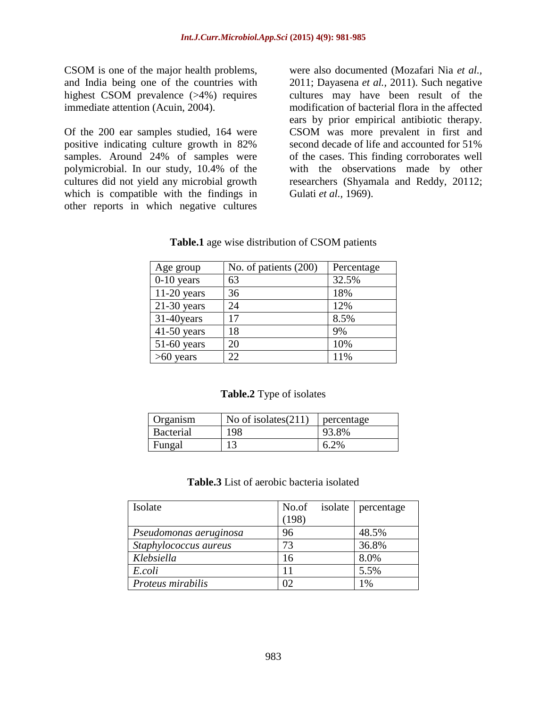CSOM is one of the major health problems, and India being one of the countries with highest CSOM prevalence (>4%) requires immediate attention (Acuin, 2004).

Of the 200 ear samples studied, 164 were positive indicating culture growth in 82% samples. Around 24% of samples were polymicrobial. In our study, 10.4% of the cultures did not yield any microbial growth which is compatible with the findings in other reports in which negative cultures

were also documented (Mozafari Nia *et al.,* 2011; Dayasena *et al.,* 2011). Such negative cultures may have been result of the modification of bacterial flora in the affected ears by prior empirical antibiotic therapy. CSOM was more prevalent in first and second decade of life and accounted for 51% of the cases. This finding corroborates well with the observations made by other researchers (Shyamala and Reddy, 20112; Gulati *et al.,* 1969).

|  |  | <b>Table.1</b> age wise distribution of CSOM patients |  |
|--|--|-------------------------------------------------------|--|
|  |  |                                                       |  |

| Age group     | No. of patients (200) | Percentage |
|---------------|-----------------------|------------|
| $0-10$ years  | 63                    | 32.5%      |
| $11-20$ years | 36                    | 18%        |
| $21-30$ years | 24                    | 12%        |
| 31-40years    | 17                    | 8.5%       |
| $41-50$ years | 18                    | 9%         |
| $51-60$ years | 20                    | 10%        |
| $>60$ years   | 22.                   | 11%        |

### **Table.2** Type of isolates

| Organism         | No of isolates $(211)$ | percentage |
|------------------|------------------------|------------|
| <b>Bacterial</b> | 198                    | 93.8%      |
| Fungal           | 13                     | 6.2%       |

#### **Table.3** List of aerobic bacteria isolated

| Isolate                | No.of<br>isolate | percentage |
|------------------------|------------------|------------|
|                        | (198)            |            |
| Pseudomonas aeruginosa | 96               | 48.5%      |
| Staphylococcus aureus  | 73               | 36.8%      |
| Klebsiella             | 16               | 8.0%       |
| E.coli                 |                  | 5.5%       |
| Proteus mirabilis      | 02               | 1%         |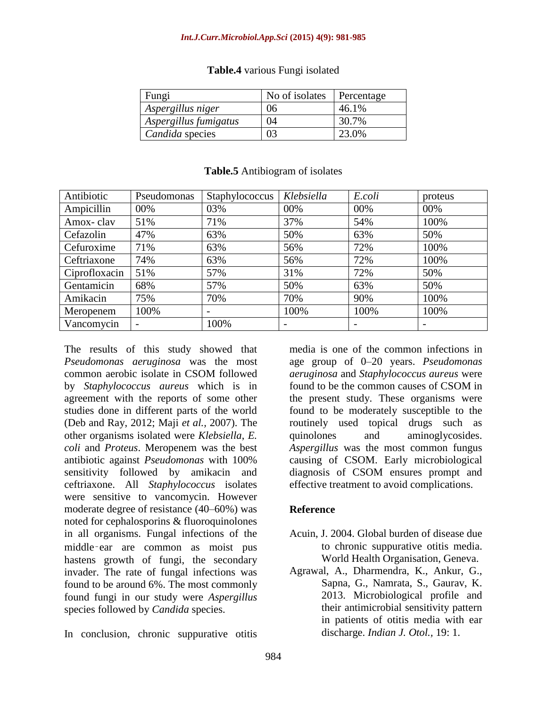#### *Int.J.Curr.Microbiol.App.Sci* **(2015) 4(9): 981-985**

| Table.4 various Fungi isolated |  |  |  |  |  |
|--------------------------------|--|--|--|--|--|
|--------------------------------|--|--|--|--|--|

| Fungi                 | No of isolates | Percentage |
|-----------------------|----------------|------------|
| Aspergillus niger     | 06             | 46.1%      |
| Aspergillus fumigatus | 04             | 30.7%      |
| Candida species       |                | 23.0%      |

| Antibiotic    | Pseudomonas | Staphylococcus           | Klebsiella | E.coli | proteus |
|---------------|-------------|--------------------------|------------|--------|---------|
| Ampicillin    | 00%         | 03%                      | 00%        | 00%    | 00%     |
| Amox-clav     | 51%         | 71%                      | 37%        | 54%    | 100%    |
| Cefazolin     | 47%         | 63%                      | 50%        | 63%    | 50%     |
| Cefuroxime    | 71%         | 63%                      | 56%        | 72%    | 100%    |
| Ceftriaxone   | 74%         | 63%                      | 56%        | 72%    | 100%    |
| Ciprofloxacin | 51%         | 57%                      | 31%        | 72%    | 50%     |
| Gentamicin    | 68%         | 57%                      | 50%        | 63%    | 50%     |
| Amikacin      | 75%         | 70%                      | 70%        | 90%    | 100%    |
| Meropenem     | 100%        | $\overline{\phantom{0}}$ | 100%       | 100%   | 100%    |
| Vancomycin    |             | 100%                     |            |        |         |

#### **Table.5** Antibiogram of isolates

The results of this study showed that *Pseudomonas aeruginosa* was the most common aerobic isolate in CSOM followed by *Staphylococcus aureus* which is in agreement with the reports of some other studies done in different parts of the world (Deb and Ray, 2012; Maji *et al.,* 2007). The other organisms isolated were *Klebsiella*, *E. coli* and *Proteus*. Meropenem was the best antibiotic against *Pseudomonas* with 100% sensitivity followed by amikacin and ceftriaxone. All *Staphylococcus* isolates were sensitive to vancomycin. However moderate degree of resistance (40–60%) was noted for cephalosporins & fluoroquinolones in all organisms. Fungal infections of the middle‑ear are common as moist pus hastens growth of fungi, the secondary invader. The rate of fungal infections was found to be around 6%. The most commonly found fungi in our study were *Aspergillus* species followed by *Candida* species.

In conclusion, chronic suppurative otitis

media is one of the common infections in age group of 0–20 years. *Pseudomonas aeruginosa* and *Staphylococcus aureus* were found to be the common causes of CSOM in the present study. These organisms were found to be moderately susceptible to the routinely used topical drugs such as quinolones and aminoglycosides. *Aspergillus* was the most common fungus causing of CSOM. Early microbiological diagnosis of CSOM ensures prompt and effective treatment to avoid complications.

### **Reference**

- Acuin, J. 2004. Global burden of disease due to chronic suppurative otitis media. World Health Organisation, Geneva.
- Agrawal, A., Dharmendra, K., Ankur, G., Sapna, G., Namrata, S., Gaurav, K. 2013. Microbiological profile and their antimicrobial sensitivity pattern in patients of otitis media with ear discharge. *Indian J. Otol.,* 19: 1.